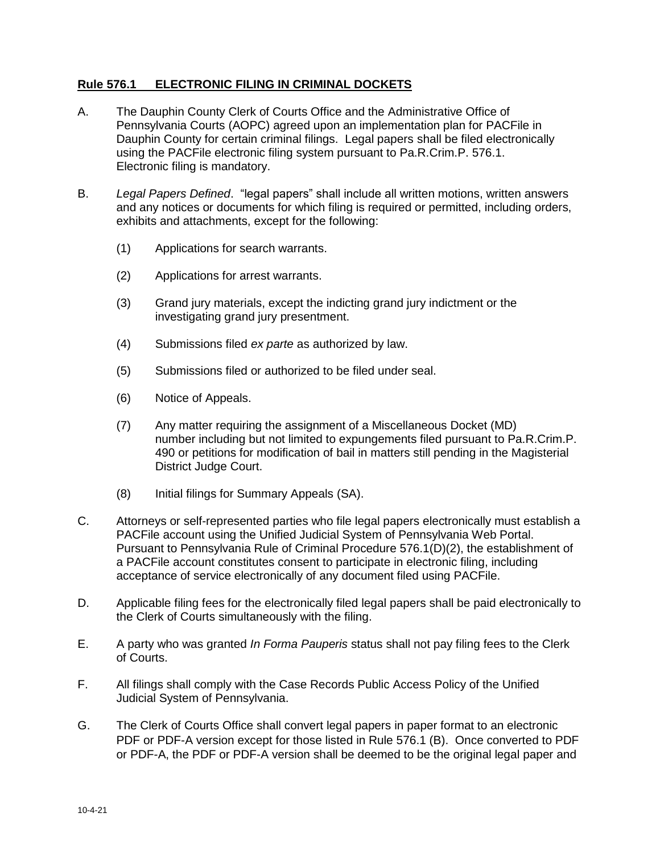## **Rule 576.1 ELECTRONIC FILING IN CRIMINAL DOCKETS**

- A. The Dauphin County Clerk of Courts Office and the Administrative Office of Pennsylvania Courts (AOPC) agreed upon an implementation plan for PACFile in Dauphin County for certain criminal filings. Legal papers shall be filed electronically using the PACFile electronic filing system pursuant to Pa.R.Crim.P. 576.1. Electronic filing is mandatory.
- B. *Legal Papers Defined*. "legal papers" shall include all written motions, written answers and any notices or documents for which filing is required or permitted, including orders, exhibits and attachments, except for the following:
	- (1) Applications for search warrants.
	- (2) Applications for arrest warrants.
	- (3) Grand jury materials, except the indicting grand jury indictment or the investigating grand jury presentment.
	- (4) Submissions filed *ex parte* as authorized by law.
	- (5) Submissions filed or authorized to be filed under seal.
	- (6) Notice of Appeals.
	- (7) Any matter requiring the assignment of a Miscellaneous Docket (MD) number including but not limited to expungements filed pursuant to Pa.R.Crim.P. 490 or petitions for modification of bail in matters still pending in the Magisterial District Judge Court.
	- (8) Initial filings for Summary Appeals (SA).
- C. Attorneys or self-represented parties who file legal papers electronically must establish a PACFile account using the Unified Judicial System of Pennsylvania Web Portal. Pursuant to Pennsylvania Rule of Criminal Procedure 576.1(D)(2), the establishment of a PACFile account constitutes consent to participate in electronic filing, including acceptance of service electronically of any document filed using PACFile.
- D. Applicable filing fees for the electronically filed legal papers shall be paid electronically to the Clerk of Courts simultaneously with the filing.
- E. A party who was granted *In Forma Pauperis* status shall not pay filing fees to the Clerk of Courts.
- F. All filings shall comply with the Case Records Public Access Policy of the Unified Judicial System of Pennsylvania.
- G. The Clerk of Courts Office shall convert legal papers in paper format to an electronic PDF or PDF-A version except for those listed in Rule 576.1 (B). Once converted to PDF or PDF-A, the PDF or PDF-A version shall be deemed to be the original legal paper and